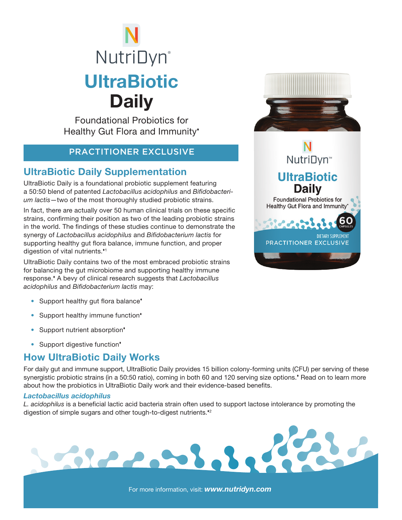# **NutriDyn**® **UltraBiotic Daily**

Foundational Probiotics for Healthy Gut Flora and Immunity'

### PRACTITIONER EXCLUSIVE

# UltraBiotic Daily Supplementation

UltraBiotic Daily is a foundational probiotic supplement featuring a 50:50 blend of patented *Lactobacillus acidophilus* and *Bifidobacterium lactis*—two of the most thoroughly studied probiotic strains.

In fact, there are actually over 50 human clinical trials on these specific strains, confirming their position as two of the leading probiotic strains in the world. The findings of these studies continue to demonstrate the synergy of *Lactobacillus acidophilus* and *Bifidobacterium lactis* for supporting healthy gut flora balance, immune function, and proper digestion of vital nutrients.<sup>41</sup>

UltraBiotic Daily contains two of the most embraced probiotic strains for balancing the gut microbiome and supporting healthy immune response. A bevy of clinical research suggests that *Lactobacillus acidophilus* and *Bifidobacterium lactis* may:

Sierris!

- Support healthy gut flora balance<sup>\*</sup>
- Support healthy immune function<sup>\*</sup>
- Support nutrient absorption<sup>\*</sup>
- Support digestive function<sup>\*</sup>

# How UltraBiotic Daily Works

For daily gut and immune support, UltraBiotic Daily provides 15 billion colony-forming units (CFU) per serving of these synergistic probiotic strains (in a 50:50 ratio), coming in both 60 and 120 serving size options. Read on to learn more about how the probiotics in UltraBiotic Daily work and their evidence-based benefits.

#### *Lactobacillus acidophilus*

*L. acidophilus* is a beneficial lactic acid bacteria strain often used to support lactose intolerance by promoting the digestion of simple sugars and other tough-to-digest nutrients.<sup>42</sup>